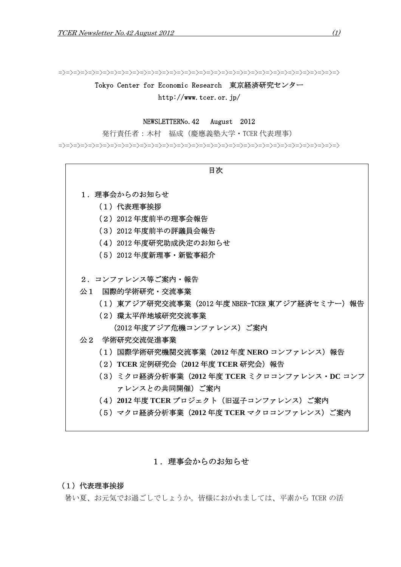=>=>=>=>=>=>=>=>=>=>=>=>=>=>=>=>=>=>=>=>=>=>=>=>=>=>=>=>=>=>=>=>=>=>=>=>=>=>

Tokyo Center for Economic Research 東京経済研究センター http://www.tcer.or.jp/

# NEWSLETTERNo.42 August 2012

発行責任者:木村 福成(慶應義塾大学・TCER 代表理事)

=>=>=>=>=>=>=>=>=>=>=>=>=>=>=>=>=>=>=>=>=>=>=>=>=>=>=>=>=>=>=>=>=>=>=>=>=>=>

- 目次 1. 理事会からのお知らせ (1)代表理事挨拶 (2)2012 年度前半の理事会報告 (3)2012 年度前半の評議員会報告 (4)2012 年度研究助成決定のお知らせ (5)2012 年度新理事・新監事紹介 2.コンファレンス等ご案内・報告 公1 国際的学術研究・交流事業 (1)東アジア研究交流事業(2012 年度 NBER-TCER 東アジア経済セミナー)報告 (2)環太平洋地域研究交流事業 (2012 年度アジア危機コンファレンス)ご案内 公2 学術研究交流促進事業 (1)国際学術研究機関交流事業(**2012** 年度 **NERO** コンファレンス)報告 (2)**TCER** 定例研究会(**2012** 年度 **TCER** 研究会)報告 (3)ミクロ経済分析事業(**2012** 年度 **TCER** ミクロコンファレンス・**DC** コンフ ァレンスとの共同開催)ご案内 (4)**2012** 年度 **TCER** プロジェクト(旧逗子コンファレンス)ご案内
	- (5)マクロ経済分析事業(**2012** 年度 **TCER** マクロコンファレンス)ご案内

# 1. 理事会からのお知らせ

#### (1)代表理事挨拶

暑い夏、お元気でお過ごしでしょうか。皆様におかれましては、平素から TCER の活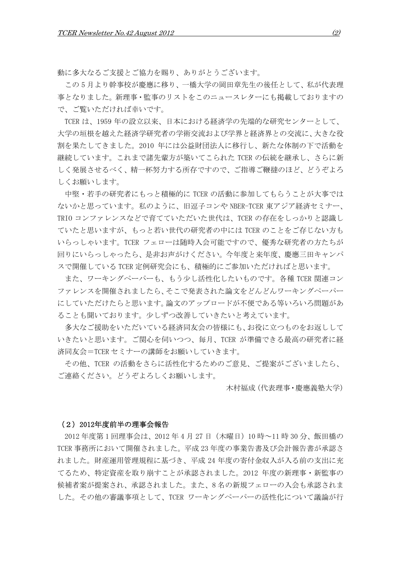動に多大なるご支援とご協力を賜り、ありがとうございます。

この 5 月より幹事校が慶應に移り、一橋大学の岡田章先生の後任として、私が代表理 事となりました。新理事・監事のリストをこのニュースレターにも掲載しておりますの で、ご覧いただければ幸いです。

TCER は、1959 年の設立以来、日本における経済学の先端的な研究センターとして、 大学の垣根を越えた経済学研究者の学術交流および学界と経済界との交流に、大きな役 割を果たしてきました。2010 年には公益財団法人に移行し、新たな体制の下で活動を 継続しています。これまで諸先輩方が築いてこられた TCER の伝統を継承し、さらに新 しく発展させるべく、精一杯努力する所存ですので、ご指導ご鞭撻のほど、どうぞよろ しくお願いします。

中堅・若手の研究者にもっと積極的に TCER の活動に参加してもらうことが大事では ないかと思っています。私のように、旧逗子コンや NBER-TCER 東アジア経済セミナー、 TRIO コンファレンスなどで育てていただいた世代は、TCER の存在をしっかりと認識し ていたと思いますが、もっと若い世代の研究者の中には TCER のことをご存じない方も いらっしゃいます。TCER フェローは随時入会可能ですので、優秀な研究者の方たちが 回りにいらっしゃったら、是非お声がけください。今年度と来年度、慶應三田キャンパ スで開催している TCER 定例研究会にも、積極的にご参加いただければと思います。

また、ワーキングペーパーも、もう少し活性化したいものです。各種 TCER 関連コン ファレンスを開催されましたら、そこで発表された論文をどんどんワーキングペーパー にしていただけたらと思います。論文のアップロードが不便である等いろいろ問題があ ることも聞いております。少しずつ改善していきたいと考えています。

多大なご援助をいただいている経済同友会の皆様にも、お役に立つものをお返しして いきたいと思います。ご関心を伺いつつ、毎月、TCER が準備できる最高の研究者に経 済同友会=TCER セミナーの講師をお願いしていきます。

その他、TCER の活動をさらに活性化するためのご意見、ご提案がございましたら、 ご連絡ください。どうぞよろしくお願いします。

木村福成(代表理事・慶應義塾大学)

#### (2)2012年度前半の理事会報告

2012 年度第 1 回理事会は、2012 年 4 月 27 日(木曜日)10 時~11 時 30 分、飯田橋の TCER 事務所において開催されました。平成 23 年度の事業告書及び会計報告書が承認さ れました。財産運用管理規程に基づき、平成 24 年度の寄付金収入が入る前の支出に充 てるため、特定資産を取り崩すことが承認されました。2012 年度の新理事・新監事の 候補者案が提案され、承認されました。また、8 名の新規フェローの入会も承認されま した。その他の審議事項として、TCER ワーキングペーパーの活性化について議論が行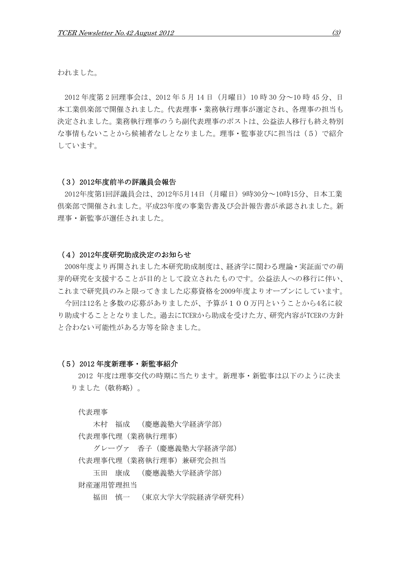われました。

 2012 年度第 2 回理事会は、2012 年 5 月 14 日(月曜日)10 時 30 分~10 時 45 分、日 本工業倶楽部で開催されました。代表理事・業務執行理事が選定され、各理事の担当も 決定されました。業務執行理事のうち副代表理事のポストは、公益法人移行も終え特別 な事情もないことから候補者なしとなりました。理事・監事並びに担当は(5)で紹介 しています。

#### (3)2012年度前半の評議員会報告

2012年度第1回評議員会は、2012年5月14日(月曜日)9時30分~10時15分、日本工業 倶楽部で開催されました。平成23年度の事業告書及び会計報告書が承認されました。新 理事・新監事が選任されました。

#### (4)2012年度研究助成決定のお知らせ

2008年度より再開されました本研究助成制度は、経済学に関わる理論・実証面での萌 芽的研究を支援することが目的として設立されたものです。公益法人への移行に伴い、 これまで研究員のみと限ってきました応募資格を2009年度よりオープンにしています。

今回は12名と多数の応募がありましたが、予算が100万円ということから4名に絞 り助成することとなりました。過去にTCERから助成を受けた方、研究内容がTCERの方針 と合わない可能性がある方等を除きました。

#### (5)2012 年度新理事・新監事紹介

2012 年度は理事交代の時期に当たります。新理事・新監事は以下のように決ま りました (敬称略)。

代表理事

 木村 福成 (慶應義塾大学経済学部) 代表理事代理(業務執行理事)

 グレーヴァ 香子(慶應義塾大学経済学部) 代表理事代理(業務執行理事)兼研究会担当

玉田 康成 (慶應義塾大学経済学部)

財産運用管理担当

福田 慎一 (東京大学大学院経済学研究科)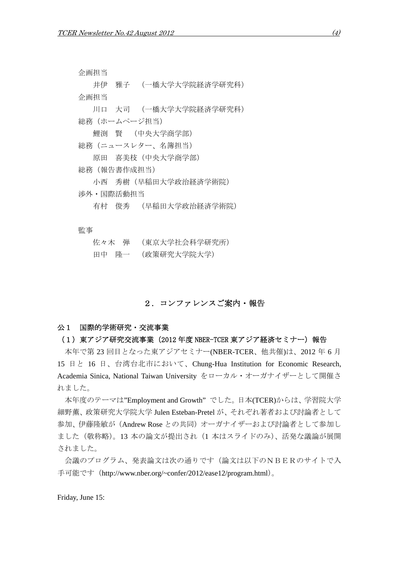企画担当

 井伊 雅子 (一橋大学大学院経済学研究科) 企画担当

 川口 大司 (一橋大学大学院経済学研究科) 総務(ホームページ担当)

鯉渕 賢 (中央大学商学部)

総務(ニュースレター、名簿担当)

原田 喜美枝(中央大学商学部)

総務(報告書作成担当)

小西 秀樹(早稲田大学政治経済学術院)

渉外・国際活動担当

有村 俊秀 (早稲田大学政治経済学術院)

監事

| 佐々木の弾 | (東京大学社会科学研究所) |
|-------|---------------|
| 田中に降一 | (政策研究大学院大学)   |

# 2.コンファレンスご案内・報告

## 公1 国際的学術研究・交流事業

#### (1) 東アジア研究交流事業 (2012 年度 NBER-TCER 東アジア経済セミナー) 報告

 本年で第 23 回目となった東アジアセミナー(NBER-TCER、他共催)は、2012 年 6 月 15 日と 16 日、台湾台北市において、Chung-Hua Institution for Economic Research, Academia Sinica, National Taiwan University をローカル・オーガナイザーとして開催さ れました。

 本年度のテーマは"Employment and Growth" でした。日本(TCER)からは、学習院大学 細野薫、政策研究大学院大学 Julen Esteban-Pretel が、それぞれ著者および討論者として 参加、伊藤隆敏が(Andrew Rose との共同)オーガナイザーおよび討論者として参加し ました(敬称略)。13 本の論文が提出され(1 本はスライドのみ)、活発な議論が展開 されました。

 会議のプログラム、発表論文は次の通りです(論文は以下のNBERのサイトで入 手可能です (http://www.nber.org/~confer/2012/ease12/program.html)。

Friday, June 15: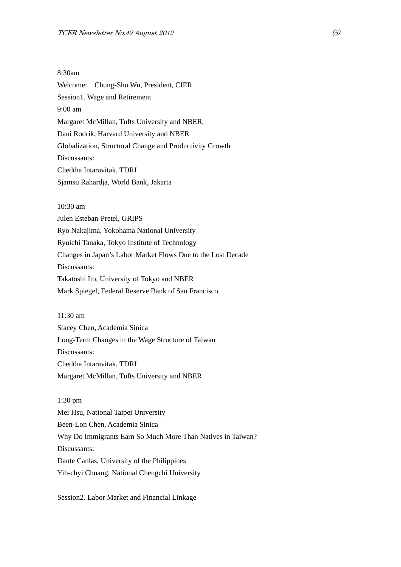8:30am Welcome: Chung-Shu Wu, President, CIER Session1. Wage and Retirement 9:00 am Margaret McMillan, Tufts University and NBER, Dani Rodrik, Harvard University and NBER Globalization, Structural Change and Productivity Growth Discussants: Chedtha Intaravitak, TDRI Sjamsu Rahardja, World Bank, Jakarta

10:30 am

Julen Esteban-Pretel, GRIPS Ryo Nakajima, Yokohama National University Ryuichi Tanaka, Tokyo Institute of Technology Changes in Japan's Labor Market Flows Due to the Lost Decade Discussants: Takatoshi Ito, University of Tokyo and NBER Mark Spiegel, Federal Reserve Bank of San Francisco

11:30 am Stacey Chen, Academia Sinica Long-Term Changes in the Wage Structure of Taiwan Discussants: Chedtha Intaravitak, TDRI Margaret McMillan, Tufts University and NBER

1:30 pm Mei Hsu, National Taipei University Been-Lon Chen, Academia Sinica Why Do Immigrants Earn So Much More Than Natives in Taiwan? Discussants: Dante Canlas, University of the Philippines Yih-chyi Chuang, National Chengchi University

Session2. Labor Market and Financial Linkage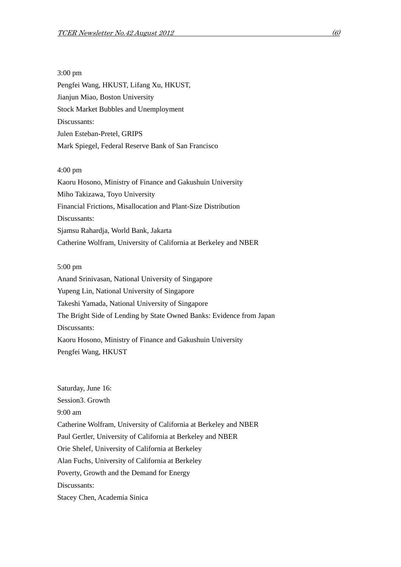3:00 pm Pengfei Wang, HKUST, Lifang Xu, HKUST, Jianjun Miao, Boston University Stock Market Bubbles and Unemployment Discussants: Julen Esteban-Pretel, GRIPS Mark Spiegel, Federal Reserve Bank of San Francisco

4:00 pm

Kaoru Hosono, Ministry of Finance and Gakushuin University Miho Takizawa, Toyo University Financial Frictions, Misallocation and Plant-Size Distribution Discussants: Sjamsu Rahardja, World Bank, Jakarta Catherine Wolfram, University of California at Berkeley and NBER

5:00 pm

Anand Srinivasan, National University of Singapore Yupeng Lin, National University of Singapore Takeshi Yamada, National University of Singapore The Bright Side of Lending by State Owned Banks: Evidence from Japan Discussants: Kaoru Hosono, Ministry of Finance and Gakushuin University Pengfei Wang, HKUST

Saturday, June 16: Session3. Growth 9:00 am Catherine Wolfram, University of California at Berkeley and NBER Paul Gertler, University of California at Berkeley and NBER Orie Shelef, University of California at Berkeley Alan Fuchs, University of California at Berkeley Poverty, Growth and the Demand for Energy Discussants: Stacey Chen, Academia Sinica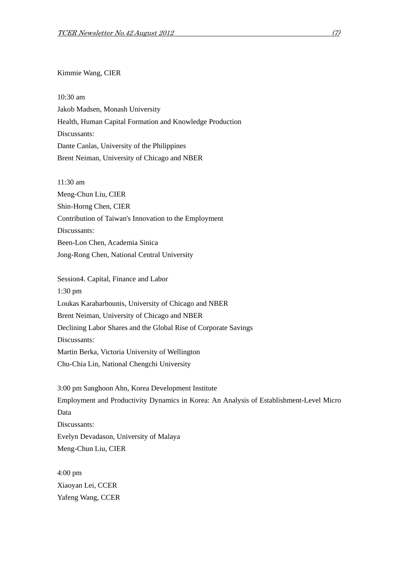## Kimmie Wang, CIER

10:30 am Jakob Madsen, Monash University Health, Human Capital Formation and Knowledge Production Discussants: Dante Canlas, University of the Philippines Brent Neiman, University of Chicago and NBER

11:30 am Meng-Chun Liu, CIER Shin-Horng Chen, CIER Contribution of Taiwan's Innovation to the Employment Discussants: Been-Lon Chen, Academia Sinica Jong-Rong Chen, National Central University

Session4. Capital, Finance and Labor 1:30 pm Loukas Karabarbounis, University of Chicago and NBER Brent Neiman, University of Chicago and NBER Declining Labor Shares and the Global Rise of Corporate Savings Discussants: Martin Berka, Victoria University of Wellington Chu-Chia Lin, National Chengchi University

3:00 pm Sanghoon Ahn, Korea Development Institute Employment and Productivity Dynamics in Korea: An Analysis of Establishment-Level Micro Data Discussants: Evelyn Devadason, University of Malaya Meng-Chun Liu, CIER

4:00 pm Xiaoyan Lei, CCER Yafeng Wang, CCER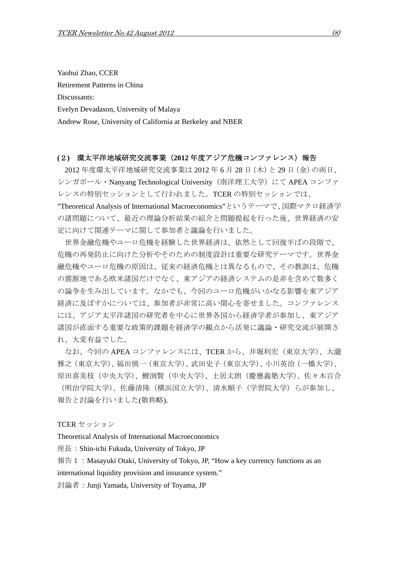Yaohui Zhao, CCER Retirement Patterns in China Discussants: Evelyn Devadason, University of Malaya Andrew Rose, University of California at Berkeley and NBER

#### **(**2**)** 環太平洋地域研究交流事業(**2012** 年度アジア危機コンファレンス)報告

2012 年度環太平洋地域研究交流事業は 2012 年 6 月 28 日(木)と 29 日(金)の両日、 シンガポール・Nanyang Technological University(南洋理工大学)にて APEA コンファ レンスの特別セッションとして行われました。TCER の特別セッションでは、

"Theoretical Analysis of International Macroeconomics"というテーマで、国際マクロ経済学 の諸問題について、最近の理論分析結果の紹介と問題提起を行った後、世界経済の安 定に向けて関連テーマに関して参加者と議論を行いました。

 世界金融危機やユーロ危機を経験した世界経済は、依然として回復半ばの段階で、 危機の再発防止に向けた分析やそのための制度設計は重要な研究テーマです。世界金 融危機やユーロ危機の原因は、従来の経済危機とは異なるもので、その教訓は、危機 の震源地である欧米諸国だけでなく、東アジアの経済システムの是非を含めて数多く の論争を生み出しています。なかでも、今回のユーロ危機がいかなる影響を東アジア 経済に及ぼすかについては、参加者が非常に高い関心を寄せました。コンファレンス には、アジア太平洋諸国の研究者を中心に世界各国から経済学者が参加し、東アジア 諸国が直面する重要な政策的課題を経済学の観点から活発に議論・研究交流が展開さ れ、大変有益でした。

なお、今回の APEA コンファレンスには、TCER から、井堀利宏 (東京大学)、大瀧 雅之(東京大学)、福田慎一(東京大学)、武田史子(東京大学)、小川英治(一橋大学)、 原田喜美枝(中央大学)、鯉渕賢(中央大学)、土居丈朗(慶應義塾大学)、佐々木百合

(明治学院大学)、佐藤清隆(横浜国立大学)、清水順子(学習院大学)らが参加し、 報告と討論を行いました(敬称略)。

TCER セッション

Theoretical Analysis of International Macroeconomics

座長:Shin-ichi Fukuda, University of Tokyo, JP

報告 1: Masayuki Otaki, University of Tokyo, JP, "How a key currency functions as an international liquidity provision and insurance system."

討論者:Junji Yamada, University of Toyama, JP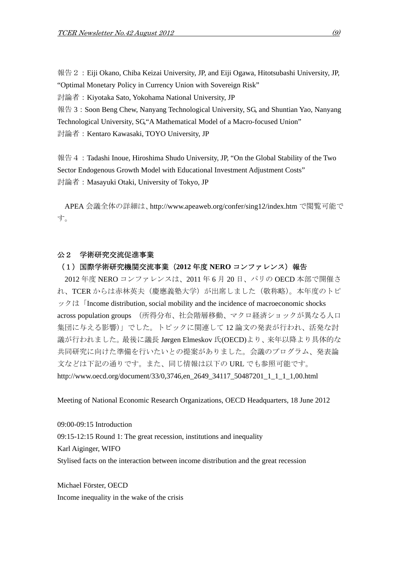報告2:Eiji Okano, Chiba Keizai University, JP, and Eiji Ogawa, Hitotsubashi University, JP, "Optimal Monetary Policy in Currency Union with Sovereign Risk"

討論者:Kiyotaka Sato, Yokohama National University, JP

報告 3:Soon Beng Chew, Nanyang Technological University, SG, and Shuntian Yao, Nanyang Technological University, SG,"A Mathematical Model of a Macro-focused Union"

討論者:Kentaro Kawasaki, TOYO University, JP

報告 4: Tadashi Inoue, Hiroshima Shudo University, JP, "On the Global Stability of the Two Sector Endogenous Growth Model with Educational Investment Adjustment Costs" 討論者:Masayuki Otaki, University of Tokyo, JP

APEA 会議全体の詳細は、http://www.apeaweb.org/confer/sing12/index.htm で閲覧可能で す。

# 公2 学術研究交流促進事業

#### (1)国際学術研究機関交流事業(**2012** 年度 **NERO** コンファレンス)報告

2012 年度 NERO コンファレンスは、2011 年 6 月 20 日、パリの OECD 本部で開催さ れ、TCER からは赤林英夫(慶應義塾大学)が出席しました(敬称略)。本年度のトピ ックは「Income distribution, social mobility and the incidence of macroeconomic shocks across population groups (所得分布、社会階層移動、マクロ経済ショックが異なる人口 集団に与える影響)」でした。トピックに関連して 12 論文の発表が行われ、活発な討 議が行われました。最後に議長 Jørgen Elmeskov 氏(OECD)より、来年以降より具体的な 共同研究に向けた準備を行いたいとの提案がありました。会議のプログラム、発表論 文などは下記の通りです。また、同じ情報は以下の URL でも参照可能です。 http://www.oecd.org/document/33/0,3746,en\_2649\_34117\_50487201\_1\_1\_1\_1,00.html

Meeting of National Economic Research Organizations, OECD Headquarters, 18 June 2012

09:00-09:15 Introduction 09:15-12:15 Round 1: The great recession, institutions and inequality Karl Aiginger, WIFO Stylised facts on the interaction between income distribution and the great recession

Michael Förster, OECD Income inequality in the wake of the crisis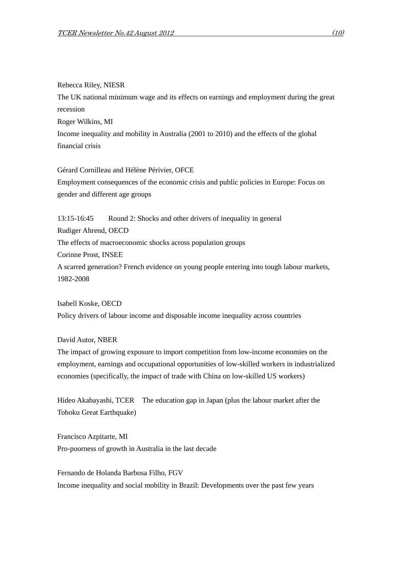#### Rebecca Riley, NIESR

The UK national minimum wage and its effects on earnings and employment during the great recession Roger Wilkins, MI Income inequality and mobility in Australia (2001 to 2010) and the effects of the global financial crisis

Gérard Cornilleau and Hélène Périvier, OFCE Employment consequences of the economic crisis and public policies in Europe: Focus on gender and different age groups

13:15-16:45 Round 2: Shocks and other drivers of inequality in general Rudiger Ahrend, OECD The effects of macroeconomic shocks across population groups Corinne Prost, INSEE A scarred generation? French evidence on young people entering into tough labour markets, 1982-2008

Isabell Koske, OECD Policy drivers of labour income and disposable income inequality across countries

# David Autor, NBER

The impact of growing exposure to import competition from low-income economies on the employment, earnings and occupational opportunities of low-skilled workers in industrialized economies (specifically, the impact of trade with China on low-skilled US workers)

Hideo Akabayashi, TCER The education gap in Japan (plus the labour market after the Tohoku Great Earthquake)

Francisco Azpitarte, MI Pro-poorness of growth in Australia in the last decade

Fernando de Holanda Barbosa Filho, FGV Income inequality and social mobility in Brazil: Developments over the past few years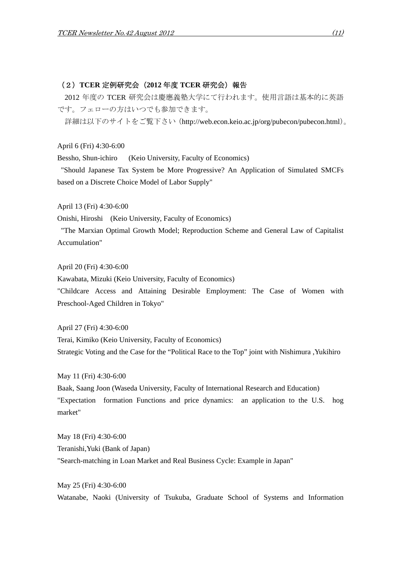# (2)**TCER** 定例研究会(**2012** 年度 **TCER** 研究会)報告

2012 年度の TCER 研究会は慶應義塾大学にて行われます。使用言語は基本的に英語 です。フェローの方はいつでも参加できます。

詳細は以下のサイトをご覧下さい (http://web.econ.keio.ac.jp/org/pubecon/pubecon.html)。

April 6 (Fri) 4:30-6:00

Bessho, Shun-ichiro (Keio University, Faculty of Economics)

 "Should Japanese Tax System be More Progressive? An Application of Simulated SMCFs based on a Discrete Choice Model of Labor Supply"

April 13 (Fri) 4:30-6:00

Onishi, Hiroshi (Keio University, Faculty of Economics)

 "The Marxian Optimal Growth Model; Reproduction Scheme and General Law of Capitalist Accumulation"

April 20 (Fri) 4:30-6:00

Kawabata, Mizuki (Keio University, Faculty of Economics)

"Childcare Access and Attaining Desirable Employment: The Case of Women with Preschool-Aged Children in Tokyo"

April 27 (Fri) 4:30-6:00

Terai, Kimiko (Keio University, Faculty of Economics) Strategic Voting and the Case for the "Political Race to the Top" joint with Nishimura ,Yukihiro

May 11 (Fri) 4:30-6:00

Baak, Saang Joon (Waseda University, Faculty of International Research and Education) "Expectation formation Functions and price dynamics: an application to the U.S. hog market"

May 18 (Fri) 4:30-6:00 Teranishi,Yuki (Bank of Japan) "Search-matching in Loan Market and Real Business Cycle: Example in Japan"

May 25 (Fri) 4:30-6:00 Watanabe, Naoki (University of Tsukuba, Graduate School of Systems and Information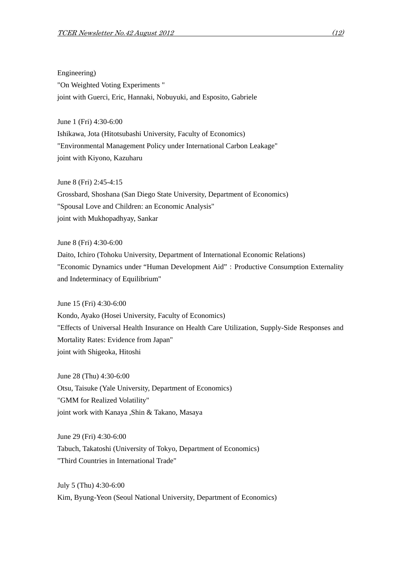Engineering) "On Weighted Voting Experiments " joint with Guerci, Eric, Hannaki, Nobuyuki, and Esposito, Gabriele

June 1 (Fri) 4:30-6:00 Ishikawa, Jota (Hitotsubashi University, Faculty of Economics) "Environmental Management Policy under International Carbon Leakage"

joint with Kiyono, Kazuharu

June 8 (Fri) 2:45-4:15

Grossbard, Shoshana (San Diego State University, Department of Economics) "Spousal Love and Children: an Economic Analysis" joint with Mukhopadhyay, Sankar

June 8 (Fri) 4:30-6:00 Daito, Ichiro (Tohoku University, Department of International Economic Relations) "Economic Dynamics under "Human Development Aid": Productive Consumption Externality and Indeterminacy of Equilibrium"

June 15 (Fri) 4:30-6:00 Kondo, Ayako (Hosei University, Faculty of Economics) "Effects of Universal Health Insurance on Health Care Utilization, Supply-Side Responses and Mortality Rates: Evidence from Japan" joint with Shigeoka, Hitoshi

June 28 (Thu) 4:30-6:00 Otsu, Taisuke (Yale University, Department of Economics) "GMM for Realized Volatility" joint work with Kanaya ,Shin & Takano, Masaya

June 29 (Fri) 4:30-6:00 Tabuch, Takatoshi (University of Tokyo, Department of Economics) "Third Countries in International Trade"

July 5 (Thu) 4:30-6:00 Kim, Byung-Yeon (Seoul National University, Department of Economics)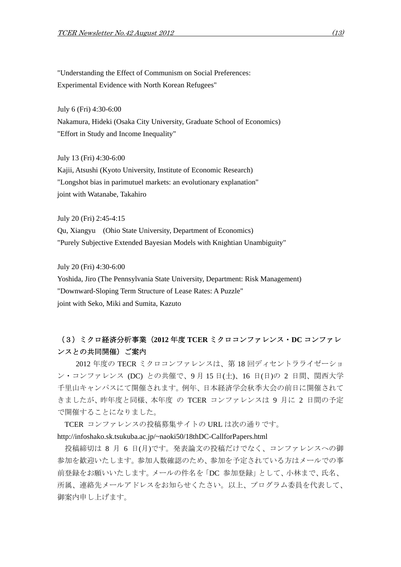"Understanding the Effect of Communism on Social Preferences: Experimental Evidence with North Korean Refugees"

July 6 (Fri) 4:30-6:00 Nakamura, Hideki (Osaka City University, Graduate School of Economics) "Effort in Study and Income Inequality"

July 13 (Fri) 4:30-6:00

Kajii, Atsushi (Kyoto University, Institute of Economic Research) "Longshot bias in parimutuel markets: an evolutionary explanation" joint with Watanabe, Takahiro

July 20 (Fri) 2:45-4:15

Qu, Xiangyu (Ohio State University, Department of Economics) "Purely Subjective Extended Bayesian Models with Knightian Unambiguity"

July 20 (Fri) 4:30-6:00

Yoshida, Jiro (The Pennsylvania State University, Department: Risk Management) "Downward-Sloping Term Structure of Lease Rates: A Puzzle" joint with Seko, Miki and Sumita, Kazuto

# (3)ミクロ経済分析事業(**2012** 年度 **TCER** ミクロコンファレンス・**DC** コンファレ ンスとの共同開催)ご案内

 2012 年度の TECR ミクロコンファレンスは、第 18 回ディセントラライゼーショ ン・コンファレンス (DC) との共催で、9 月 15 日(土)、16 日(日)の 2 日間、関西大学 千里山キャンパスにて開催されます。例年、日本経済学会秋季大会の前日に開催されて きましたが、昨年度と同様、本年度 の TCER コンファレンスは 9 月に 2 日間の予定 で開催することになりました。

TCER コンファレンスの投稿募集サイトの URL は次の通りです。

http://infoshako.sk.tsukuba.ac.jp/~naoki50/18thDC-CallforPapers.html

投稿締切は 8 月 6 日(月)です。発表論文の投稿だけでなく、コンファレンスへの御 参加を歓迎いたします。参加人数確認のため、参加を予定されている方はメールでの事 前登録をお願いいたします。メールの件名を「DC 参加登録」として、小林まで、氏名、 所属、連絡先メールアドレスをお知らせくたさい。以上、プログラム委員を代表して、 御案内申し上げます。